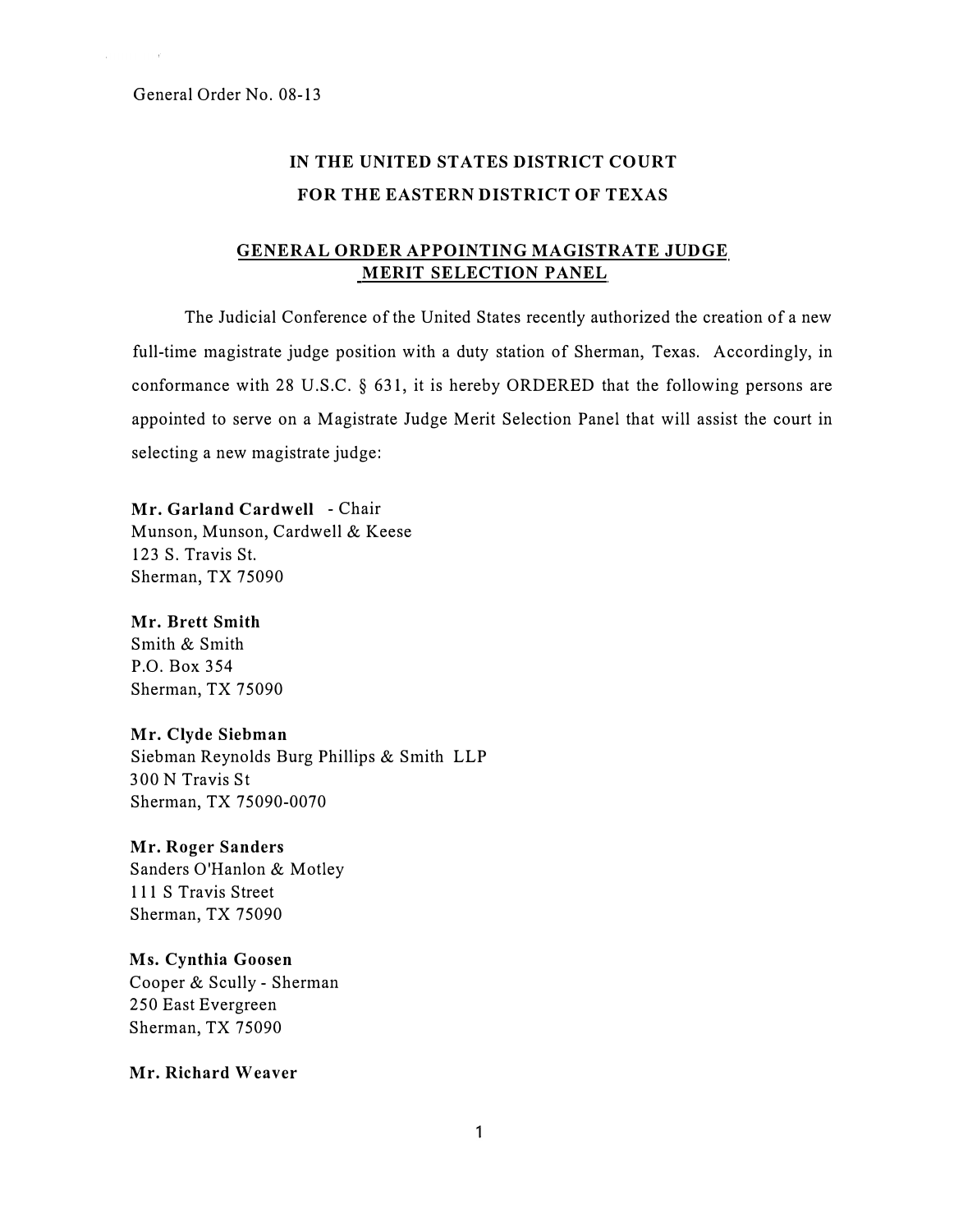# IN THE UNITED STATES DISTRICT COURT FOR THE EASTERN DISTRICT OF TEXAS

## GENERAL ORDER APPOINTING MAGISTRATE JUDGE MERIT SELECTION PANEL

The Judicial Conference of the United States recently authorized the creation of a new full-time magistrate judge position with a duty station of Sherman, Texas. Accordingly, in conformance with 28 U.S.C. § 631, it is hereby ORDERED that the following persons are appointed to serve on a Magistrate Judge Merit Selection Panel that will assist the court in selecting a new magistrate judge:

Mr. Garland Cardwell - Chair Munson, Munson, Cardwell & Keese 123 S. Travis St. Sherman, TX 75090

## Mr. Brett Smith

Smith & Smith P.O. Box 354 Sherman, TX 75090

#### Mr. Clyde Siebman

Siebman Reynolds Burg Phillips & Smith LLP 300 N Travis St Sherman, TX 75090-0070

## Mr. Roger Sanders

Sanders O'Hanlon & Motley 111 S Travis Street Sherman, TX 75090

## Ms. Cynthia Goosen

Cooper & Scully - Sherman 250 East Evergreen Sherman, TX 75090

## Mr. Richard Weaver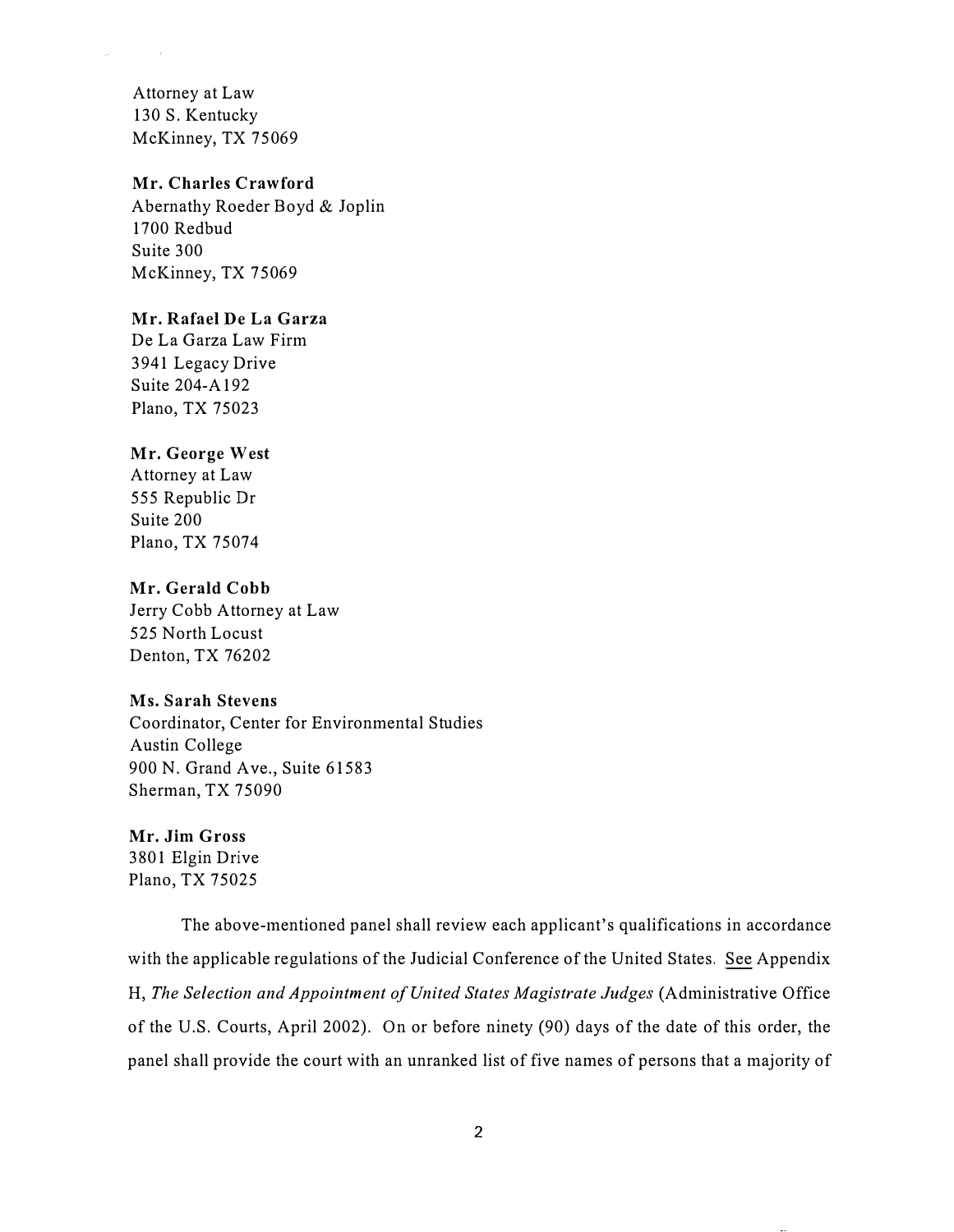Attorney at Law 130 S. Kentucky McKinney, TX 75069

## Mr. Charles Crawford

Abernathy Roeder Boyd & Joplin 1700 Redbud Suite 300 McKinney, TX 75069

## Mr. Rafael De La Garza

De La Garza Law Firm 3941 Legacy Drive Suite 204-A192 Plano, TX 75023

## Mr. George West

Attorney at Law 555 Republic Dr Suite 200 Plano, TX 75074

### Mr. Gerald Cobb

Jerry Cobb Attorney at Law 525 North Locust Denton, TX 76202

## Ms. Sarah Stevens

Coordinator, Center for Environmental Studies Austin College 900 N. Grand Ave., Suite 61583 Sherman, TX 75090

## Mr. Jim Gross

3801 Elgin Drive Plano, TX 75025

The above-mentioned panel shall review each applicant's qualifications in accordance with the applicable regulations of the Judicial Conference of the United States. See Appendix H, The Selection and Appointment of United States Magistrate Judges (Administrative Office of the U.S. Courts, April 2002). On or before ninety (90) days of the date of this order, the panel shall provide the court with an unranked list of five names of persons that a majority of